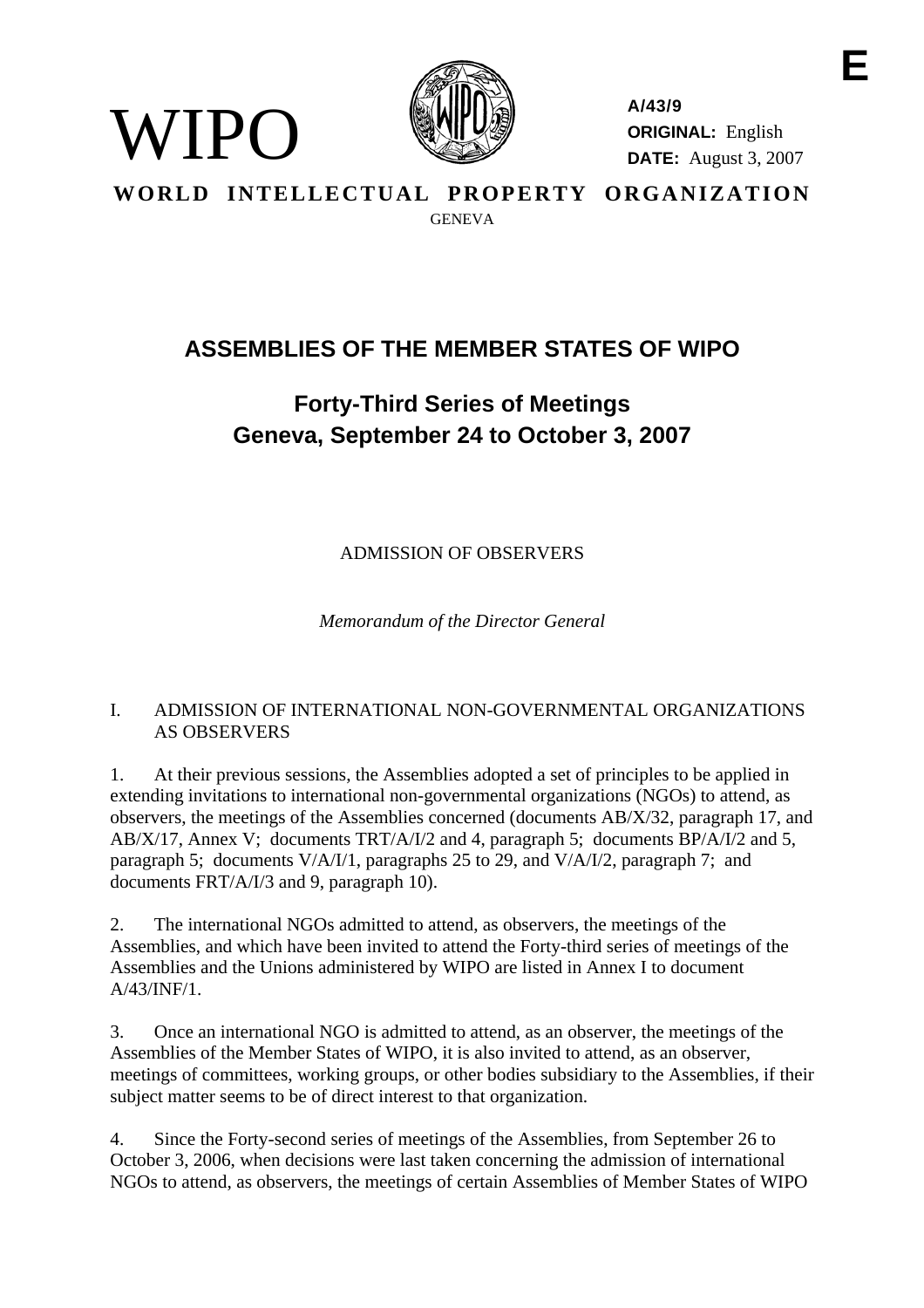

WIPO)

**A/43/9 ORIGINAL:** English **DATE:** August 3, 2007

**WORLD INTELLECTUAL PROPERTY ORGANIZATION GENEVA** 

# **ASSEMBLIES OF THE MEMBER STATES OF WIPO**

# **Forty-Third Series of Meetings Geneva, September 24 to October 3, 2007**

ADMISSION OF OBSERVERS

*Memorandum of the Director General* 

# I. ADMISSION OF INTERNATIONAL NON-GOVERNMENTAL ORGANIZATIONS AS OBSERVERS

1. At their previous sessions, the Assemblies adopted a set of principles to be applied in extending invitations to international non-governmental organizations (NGOs) to attend, as observers, the meetings of the Assemblies concerned (documents AB/X/32, paragraph 17, and AB/X/17, Annex V; documents TRT/A/I/2 and 4, paragraph 5; documents BP/A/I/2 and 5, paragraph 5; documents V/A/I/1, paragraphs 25 to 29, and V/A/I/2, paragraph 7; and documents FRT/A/I/3 and 9, paragraph 10).

2. The international NGOs admitted to attend, as observers, the meetings of the Assemblies, and which have been invited to attend the Forty-third series of meetings of the Assemblies and the Unions administered by WIPO are listed in Annex I to document A/43/INF/1.

3. Once an international NGO is admitted to attend, as an observer, the meetings of the Assemblies of the Member States of WIPO, it is also invited to attend, as an observer, meetings of committees, working groups, or other bodies subsidiary to the Assemblies, if their subject matter seems to be of direct interest to that organization.

4. Since the Forty-second series of meetings of the Assemblies, from September 26 to October 3, 2006, when decisions were last taken concerning the admission of international NGOs to attend, as observers, the meetings of certain Assemblies of Member States of WIPO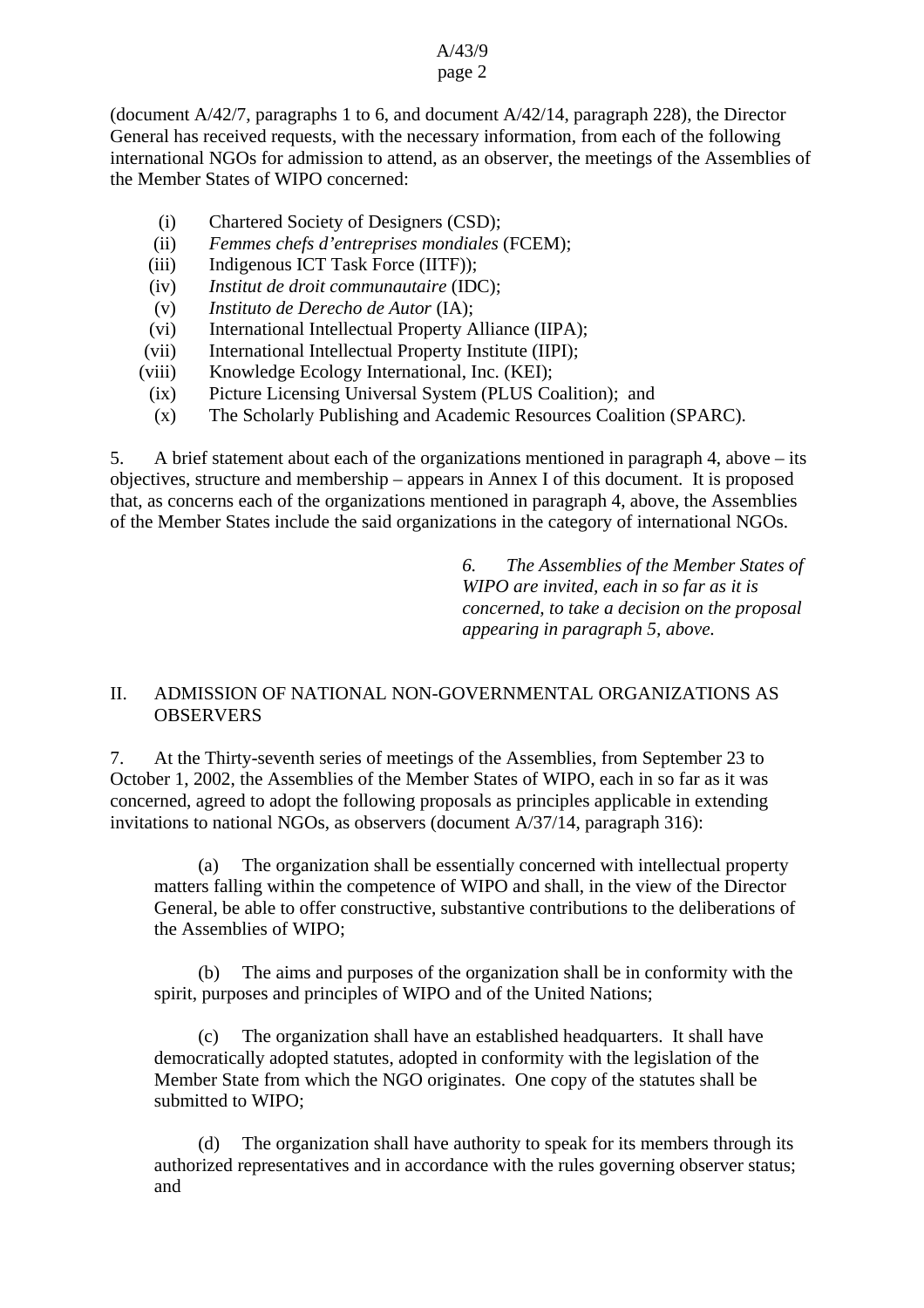#### A/43/9 page 2

## (document A/42/7, paragraphs 1 to 6, and document A/42/14, paragraph 228), the Director General has received requests, with the necessary information, from each of the following international NGOs for admission to attend, as an observer, the meetings of the Assemblies of the Member States of WIPO concerned:

- (i) Chartered Society of Designers (CSD);
- (ii) *Femmes chefs d'entreprises mondiales* (FCEM);
- (iii) Indigenous ICT Task Force (IITF));
- (iv) *Institut de droit communautaire* (IDC);
- (v) *Instituto de Derecho de Autor* (IA);
- (vi) International Intellectual Property Alliance (IIPA);
- (vii) International Intellectual Property Institute (IIPI);
- (viii) Knowledge Ecology International, Inc. (KEI);
	- (ix) Picture Licensing Universal System (PLUS Coalition); and
	- (x) The Scholarly Publishing and Academic Resources Coalition (SPARC).

5. A brief statement about each of the organizations mentioned in paragraph 4, above – its objectives, structure and membership – appears in Annex I of this document. It is proposed that, as concerns each of the organizations mentioned in paragraph 4, above, the Assemblies of the Member States include the said organizations in the category of international NGOs.

> *6. The Assemblies of the Member States of WIPO are invited, each in so far as it is concerned, to take a decision on the proposal appearing in paragraph 5, above.*

## II. ADMISSION OF NATIONAL NON-GOVERNMENTAL ORGANIZATIONS AS **OBSERVERS**

7. At the Thirty-seventh series of meetings of the Assemblies, from September 23 to October 1, 2002, the Assemblies of the Member States of WIPO, each in so far as it was concerned, agreed to adopt the following proposals as principles applicable in extending invitations to national NGOs, as observers (document A/37/14, paragraph 316):

 (a) The organization shall be essentially concerned with intellectual property matters falling within the competence of WIPO and shall, in the view of the Director General, be able to offer constructive, substantive contributions to the deliberations of the Assemblies of WIPO;

(b) The aims and purposes of the organization shall be in conformity with the spirit, purposes and principles of WIPO and of the United Nations;

(c) The organization shall have an established headquarters. It shall have democratically adopted statutes, adopted in conformity with the legislation of the Member State from which the NGO originates. One copy of the statutes shall be submitted to WIPO;

(d) The organization shall have authority to speak for its members through its authorized representatives and in accordance with the rules governing observer status; and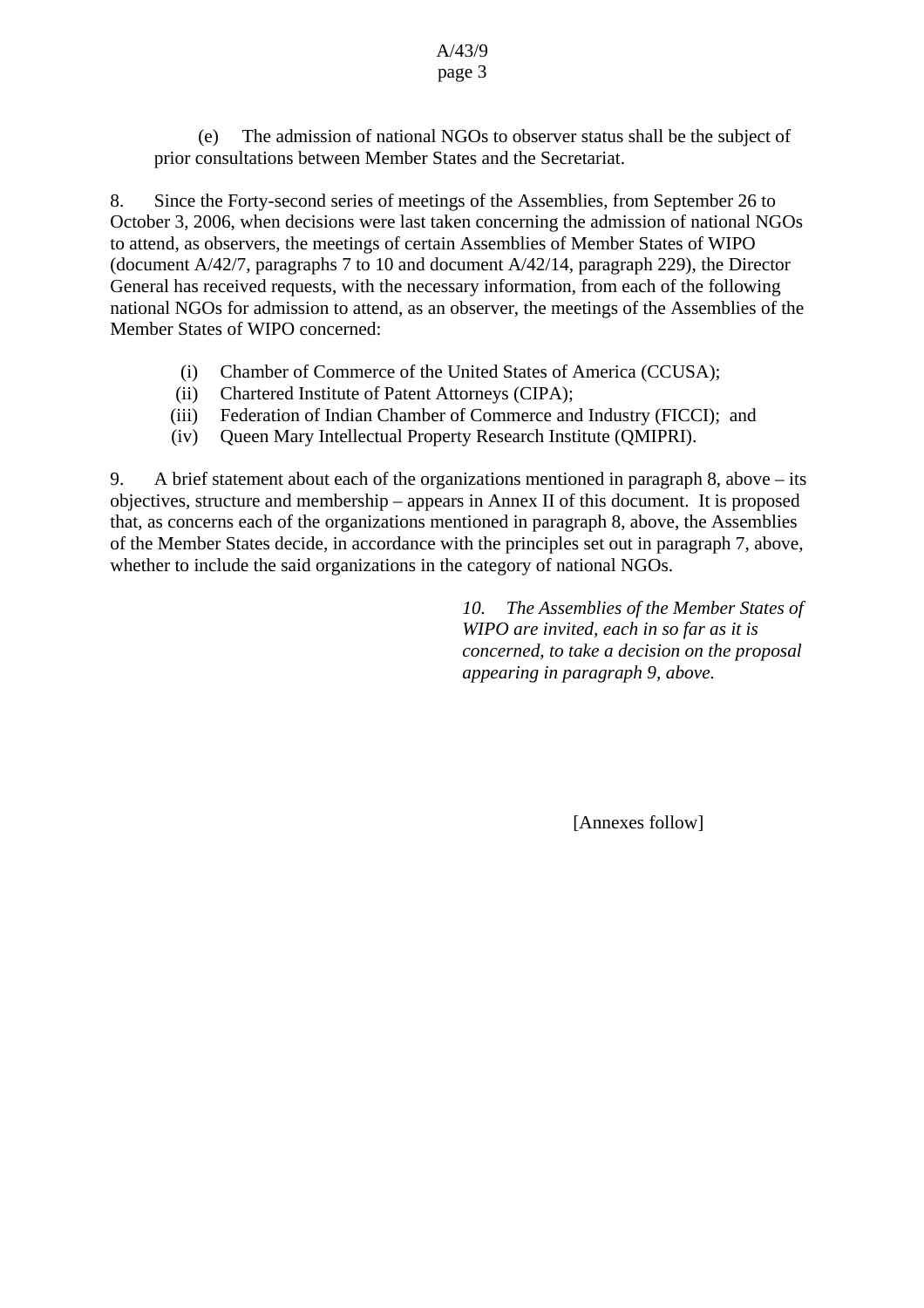(e) The admission of national NGOs to observer status shall be the subject of prior consultations between Member States and the Secretariat.

8. Since the Forty-second series of meetings of the Assemblies, from September 26 to October 3, 2006, when decisions were last taken concerning the admission of national NGOs to attend, as observers, the meetings of certain Assemblies of Member States of WIPO (document A/42/7, paragraphs 7 to 10 and document A/42/14, paragraph 229), the Director General has received requests, with the necessary information, from each of the following national NGOs for admission to attend, as an observer, the meetings of the Assemblies of the Member States of WIPO concerned:

- (i) Chamber of Commerce of the United States of America (CCUSA);
- (ii) Chartered Institute of Patent Attorneys (CIPA);
- (iii) Federation of Indian Chamber of Commerce and Industry (FICCI); and
- (iv) Queen Mary Intellectual Property Research Institute (QMIPRI).

9. A brief statement about each of the organizations mentioned in paragraph 8, above – its objectives, structure and membership – appears in Annex II of this document. It is proposed that, as concerns each of the organizations mentioned in paragraph 8, above, the Assemblies of the Member States decide, in accordance with the principles set out in paragraph 7, above, whether to include the said organizations in the category of national NGOs.

> *10. The Assemblies of the Member States of WIPO are invited, each in so far as it is concerned, to take a decision on the proposal appearing in paragraph 9, above.*

> > [Annexes follow]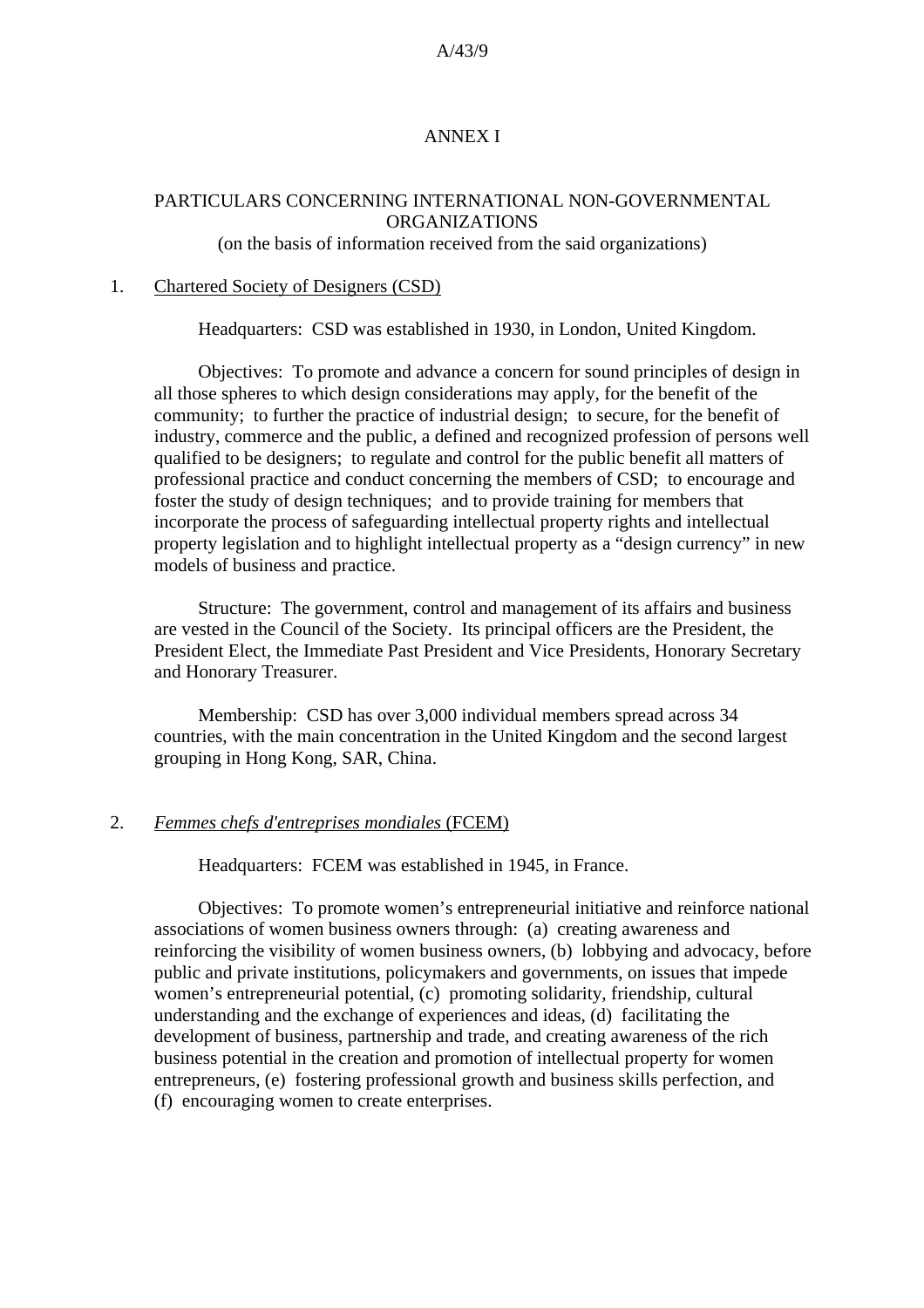#### ANNEX I

#### PARTICULARS CONCERNING INTERNATIONAL NON-GOVERNMENTAL ORGANIZATIONS

(on the basis of information received from the said organizations)

#### 1. Chartered Society of Designers (CSD)

Headquarters: CSD was established in 1930, in London, United Kingdom.

Objectives: To promote and advance a concern for sound principles of design in all those spheres to which design considerations may apply, for the benefit of the community; to further the practice of industrial design; to secure, for the benefit of industry, commerce and the public, a defined and recognized profession of persons well qualified to be designers; to regulate and control for the public benefit all matters of professional practice and conduct concerning the members of CSD; to encourage and foster the study of design techniques; and to provide training for members that incorporate the process of safeguarding intellectual property rights and intellectual property legislation and to highlight intellectual property as a "design currency" in new models of business and practice.

Structure: The government, control and management of its affairs and business are vested in the Council of the Society. Its principal officers are the President, the President Elect, the Immediate Past President and Vice Presidents, Honorary Secretary and Honorary Treasurer.

Membership: CSD has over 3,000 individual members spread across 34 countries, with the main concentration in the United Kingdom and the second largest grouping in Hong Kong, SAR, China.

#### 2. *Femmes chefs d'entreprises mondiales* (FCEM)

Headquarters: FCEM was established in 1945, in France.

Objectives: To promote women's entrepreneurial initiative and reinforce national associations of women business owners through: (a) creating awareness and reinforcing the visibility of women business owners, (b) lobbying and advocacy, before public and private institutions, policymakers and governments, on issues that impede women's entrepreneurial potential, (c) promoting solidarity, friendship, cultural understanding and the exchange of experiences and ideas, (d) facilitating the development of business, partnership and trade, and creating awareness of the rich business potential in the creation and promotion of intellectual property for women entrepreneurs, (e) fostering professional growth and business skills perfection, and (f) encouraging women to create enterprises.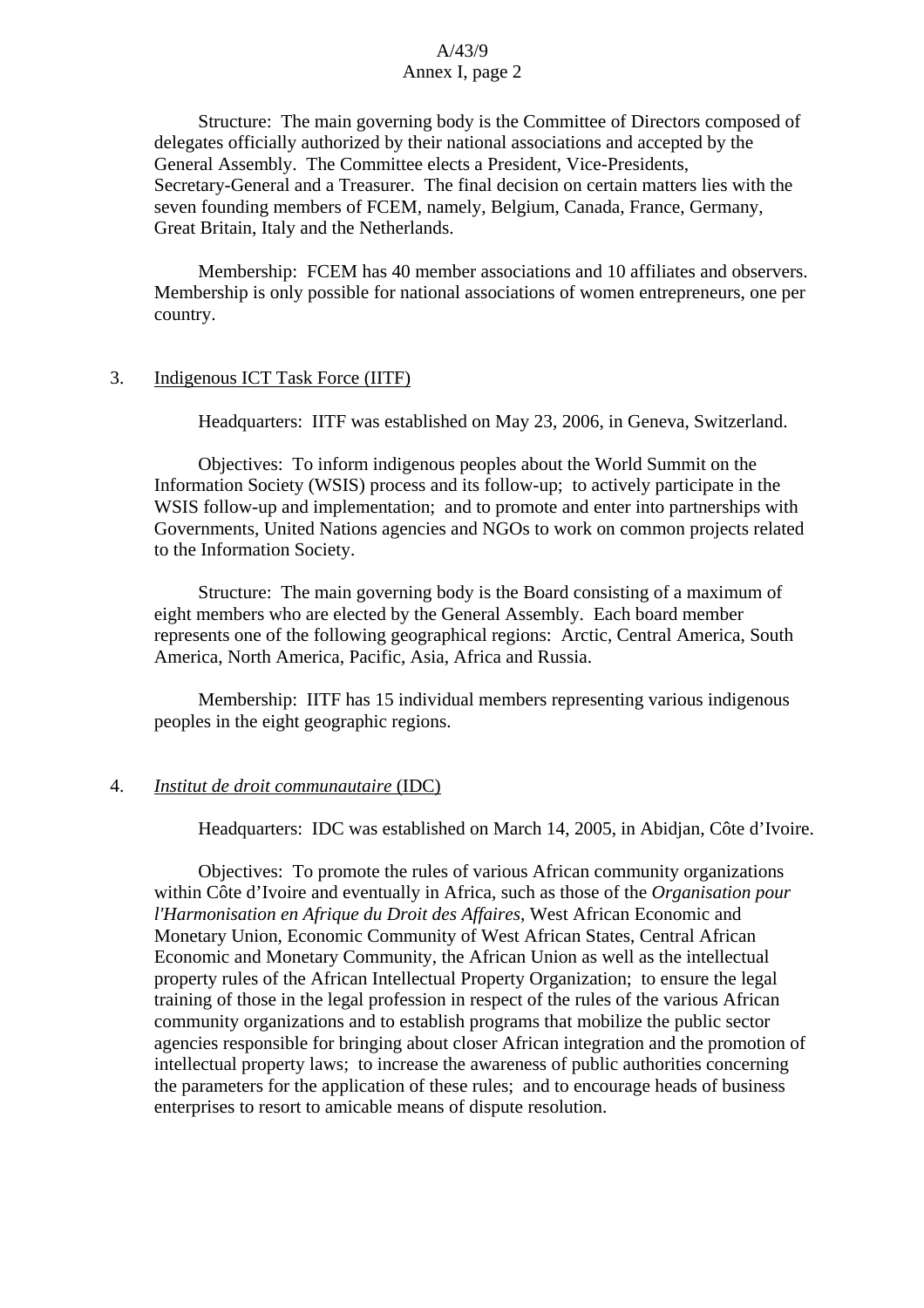Structure: The main governing body is the Committee of Directors composed of delegates officially authorized by their national associations and accepted by the General Assembly. The Committee elects a President, Vice-Presidents, Secretary-General and a Treasurer. The final decision on certain matters lies with the seven founding members of FCEM, namely, Belgium, Canada, France, Germany, Great Britain, Italy and the Netherlands.

Membership: FCEM has 40 member associations and 10 affiliates and observers. Membership is only possible for national associations of women entrepreneurs, one per country.

#### 3. Indigenous ICT Task Force (IITF)

Headquarters: IITF was established on May 23, 2006, in Geneva, Switzerland.

Objectives: To inform indigenous peoples about the World Summit on the Information Society (WSIS) process and its follow-up; to actively participate in the WSIS follow-up and implementation; and to promote and enter into partnerships with Governments, United Nations agencies and NGOs to work on common projects related to the Information Society.

Structure: The main governing body is the Board consisting of a maximum of eight members who are elected by the General Assembly. Each board member represents one of the following geographical regions: Arctic, Central America, South America, North America, Pacific, Asia, Africa and Russia.

Membership: IITF has 15 individual members representing various indigenous peoples in the eight geographic regions.

#### 4. *Institut de droit communautaire* (IDC)

Headquarters: IDC was established on March 14, 2005, in Abidjan, Côte d'Ivoire.

Objectives: To promote the rules of various African community organizations within Côte d'Ivoire and eventually in Africa, such as those of the *Organisation pour l'Harmonisation en Afrique du Droit des Affaires*, West African Economic and Monetary Union, Economic Community of West African States, Central African Economic and Monetary Community, the African Union as well as the intellectual property rules of the African Intellectual Property Organization; to ensure the legal training of those in the legal profession in respect of the rules of the various African community organizations and to establish programs that mobilize the public sector agencies responsible for bringing about closer African integration and the promotion of intellectual property laws; to increase the awareness of public authorities concerning the parameters for the application of these rules; and to encourage heads of business enterprises to resort to amicable means of dispute resolution.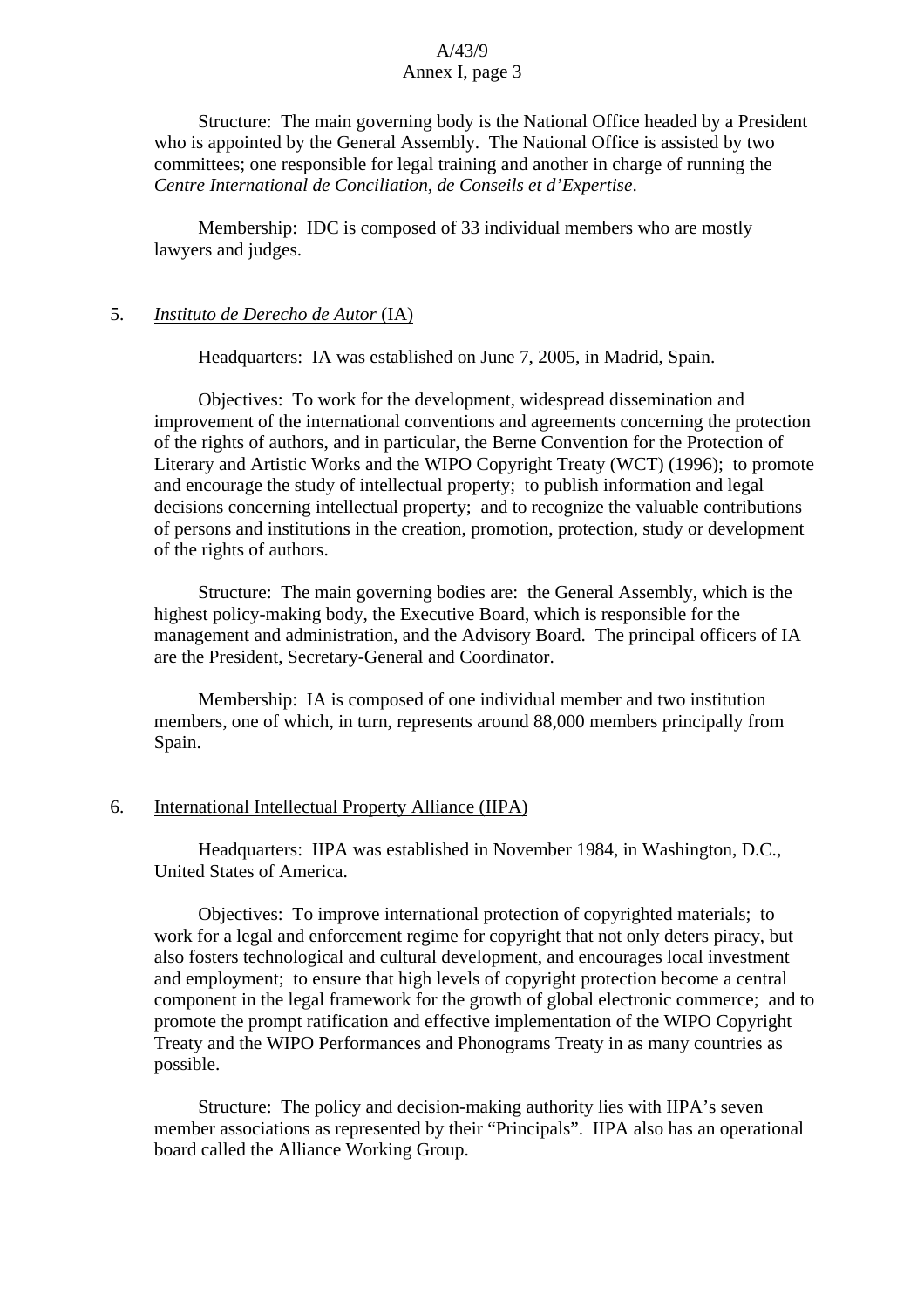Structure: The main governing body is the National Office headed by a President who is appointed by the General Assembly. The National Office is assisted by two committees; one responsible for legal training and another in charge of running the *Centre International de Conciliation, de Conseils et d'Expertise*.

Membership: IDC is composed of 33 individual members who are mostly lawyers and judges.

#### 5. *Instituto de Derecho de Autor* (IA)

Headquarters: IA was established on June 7, 2005, in Madrid, Spain.

Objectives: To work for the development, widespread dissemination and improvement of the international conventions and agreements concerning the protection of the rights of authors, and in particular, the Berne Convention for the Protection of Literary and Artistic Works and the WIPO Copyright Treaty (WCT) (1996); to promote and encourage the study of intellectual property; to publish information and legal decisions concerning intellectual property; and to recognize the valuable contributions of persons and institutions in the creation, promotion, protection, study or development of the rights of authors.

Structure: The main governing bodies are: the General Assembly, which is the highest policy-making body, the Executive Board, which is responsible for the management and administration, and the Advisory Board. The principal officers of IA are the President, Secretary-General and Coordinator.

Membership: IA is composed of one individual member and two institution members, one of which, in turn, represents around 88,000 members principally from Spain.

#### 6. International Intellectual Property Alliance (IIPA)

Headquarters: IIPA was established in November 1984, in Washington, D.C., United States of America.

Objectives: To improve international protection of copyrighted materials; to work for a legal and enforcement regime for copyright that not only deters piracy, but also fosters technological and cultural development, and encourages local investment and employment; to ensure that high levels of copyright protection become a central component in the legal framework for the growth of global electronic commerce; and to promote the prompt ratification and effective implementation of the WIPO Copyright Treaty and the WIPO Performances and Phonograms Treaty in as many countries as possible.

Structure: The policy and decision-making authority lies with IIPA's seven member associations as represented by their "Principals". IIPA also has an operational board called the Alliance Working Group.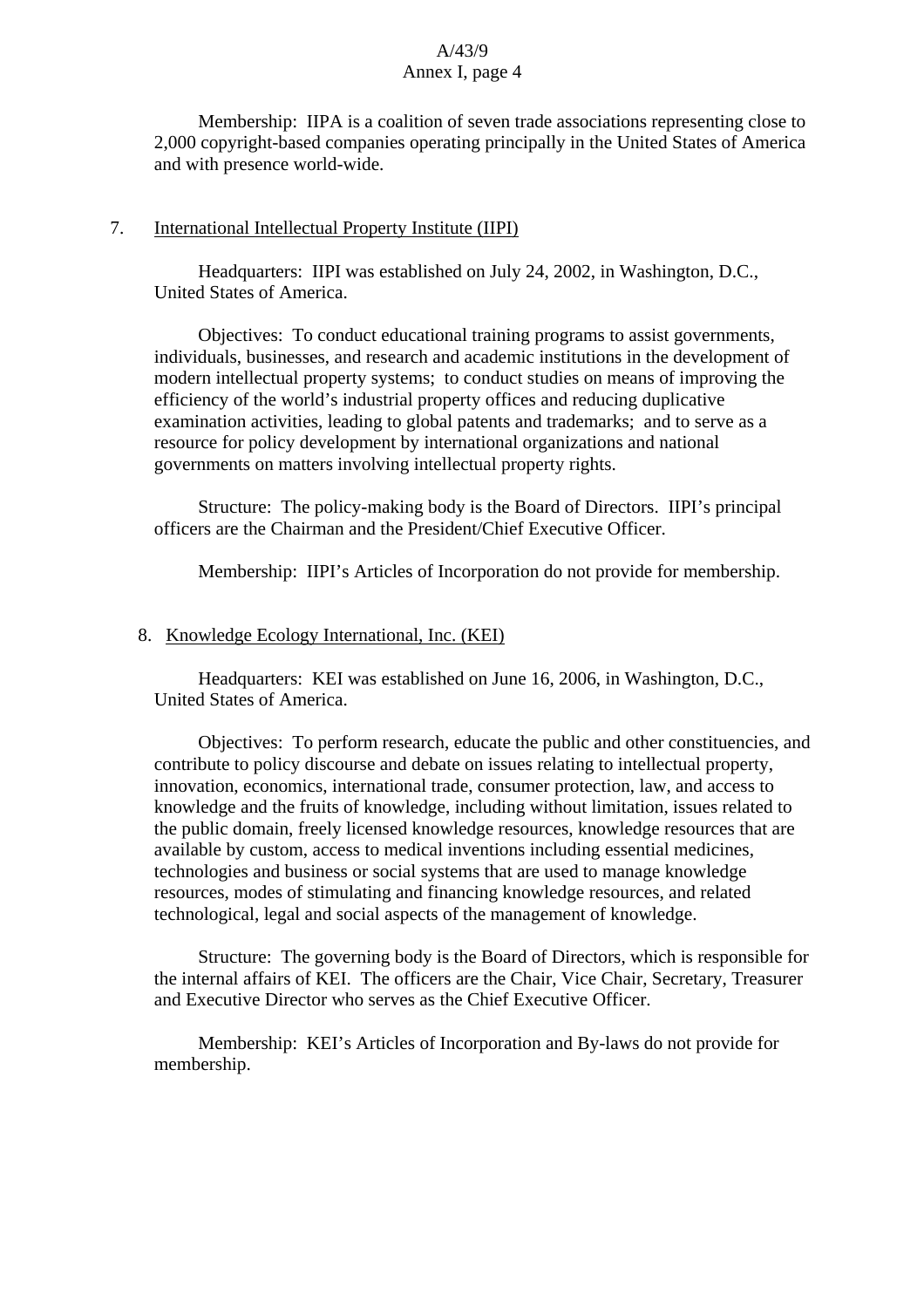Membership: IIPA is a coalition of seven trade associations representing close to 2,000 copyright-based companies operating principally in the United States of America and with presence world-wide.

## 7. International Intellectual Property Institute (IIPI)

Headquarters: IIPI was established on July 24, 2002, in Washington, D.C., United States of America.

Objectives: To conduct educational training programs to assist governments, individuals, businesses, and research and academic institutions in the development of modern intellectual property systems; to conduct studies on means of improving the efficiency of the world's industrial property offices and reducing duplicative examination activities, leading to global patents and trademarks; and to serve as a resource for policy development by international organizations and national governments on matters involving intellectual property rights.

Structure: The policy-making body is the Board of Directors. IIPI's principal officers are the Chairman and the President/Chief Executive Officer.

Membership: IIPI's Articles of Incorporation do not provide for membership.

## 8. Knowledge Ecology International, Inc. (KEI)

Headquarters: KEI was established on June 16, 2006, in Washington, D.C., United States of America.

Objectives: To perform research, educate the public and other constituencies, and contribute to policy discourse and debate on issues relating to intellectual property, innovation, economics, international trade, consumer protection, law, and access to knowledge and the fruits of knowledge, including without limitation, issues related to the public domain, freely licensed knowledge resources, knowledge resources that are available by custom, access to medical inventions including essential medicines, technologies and business or social systems that are used to manage knowledge resources, modes of stimulating and financing knowledge resources, and related technological, legal and social aspects of the management of knowledge.

Structure: The governing body is the Board of Directors, which is responsible for the internal affairs of KEI. The officers are the Chair, Vice Chair, Secretary, Treasurer and Executive Director who serves as the Chief Executive Officer.

Membership: KEI's Articles of Incorporation and By-laws do not provide for membership.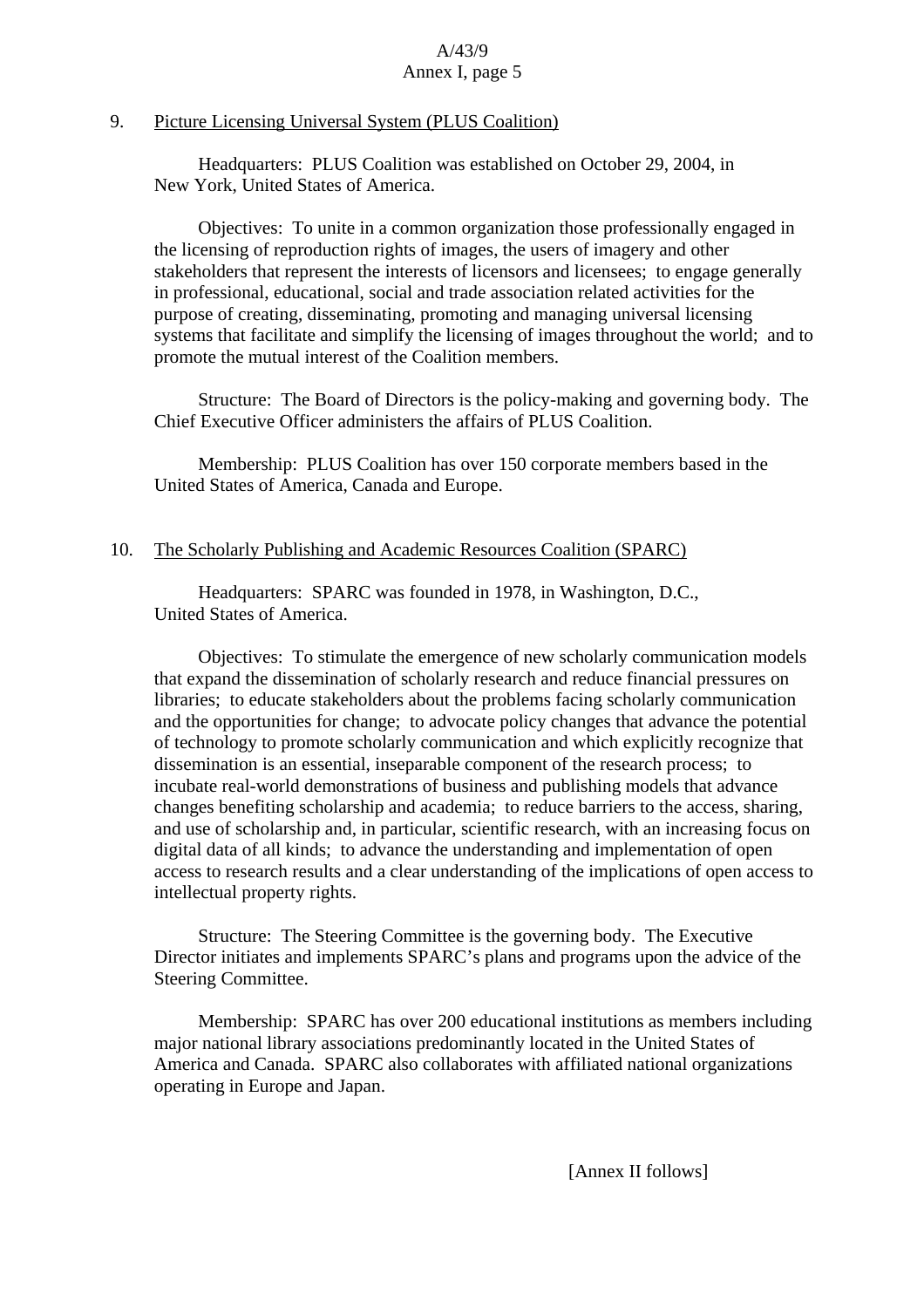## 9. Picture Licensing Universal System (PLUS Coalition)

Headquarters: PLUS Coalition was established on October 29, 2004, in New York, United States of America.

Objectives: To unite in a common organization those professionally engaged in the licensing of reproduction rights of images, the users of imagery and other stakeholders that represent the interests of licensors and licensees; to engage generally in professional, educational, social and trade association related activities for the purpose of creating, disseminating, promoting and managing universal licensing systems that facilitate and simplify the licensing of images throughout the world; and to promote the mutual interest of the Coalition members.

Structure: The Board of Directors is the policy-making and governing body. The Chief Executive Officer administers the affairs of PLUS Coalition.

Membership: PLUS Coalition has over 150 corporate members based in the United States of America, Canada and Europe.

#### 10. The Scholarly Publishing and Academic Resources Coalition (SPARC)

Headquarters: SPARC was founded in 1978, in Washington, D.C., United States of America.

Objectives: To stimulate the emergence of new scholarly communication models that expand the dissemination of scholarly research and reduce financial pressures on libraries; to educate stakeholders about the problems facing scholarly communication and the opportunities for change; to advocate policy changes that advance the potential of technology to promote scholarly communication and which explicitly recognize that dissemination is an essential, inseparable component of the research process; to incubate real-world demonstrations of business and publishing models that advance changes benefiting scholarship and academia; to reduce barriers to the access, sharing, and use of scholarship and, in particular, scientific research, with an increasing focus on digital data of all kinds; to advance the understanding and implementation of open access to research results and a clear understanding of the implications of open access to intellectual property rights.

Structure: The Steering Committee is the governing body. The Executive Director initiates and implements SPARC's plans and programs upon the advice of the Steering Committee.

Membership: SPARC has over 200 educational institutions as members including major national library associations predominantly located in the United States of America and Canada. SPARC also collaborates with affiliated national organizations operating in Europe and Japan.

[Annex II follows]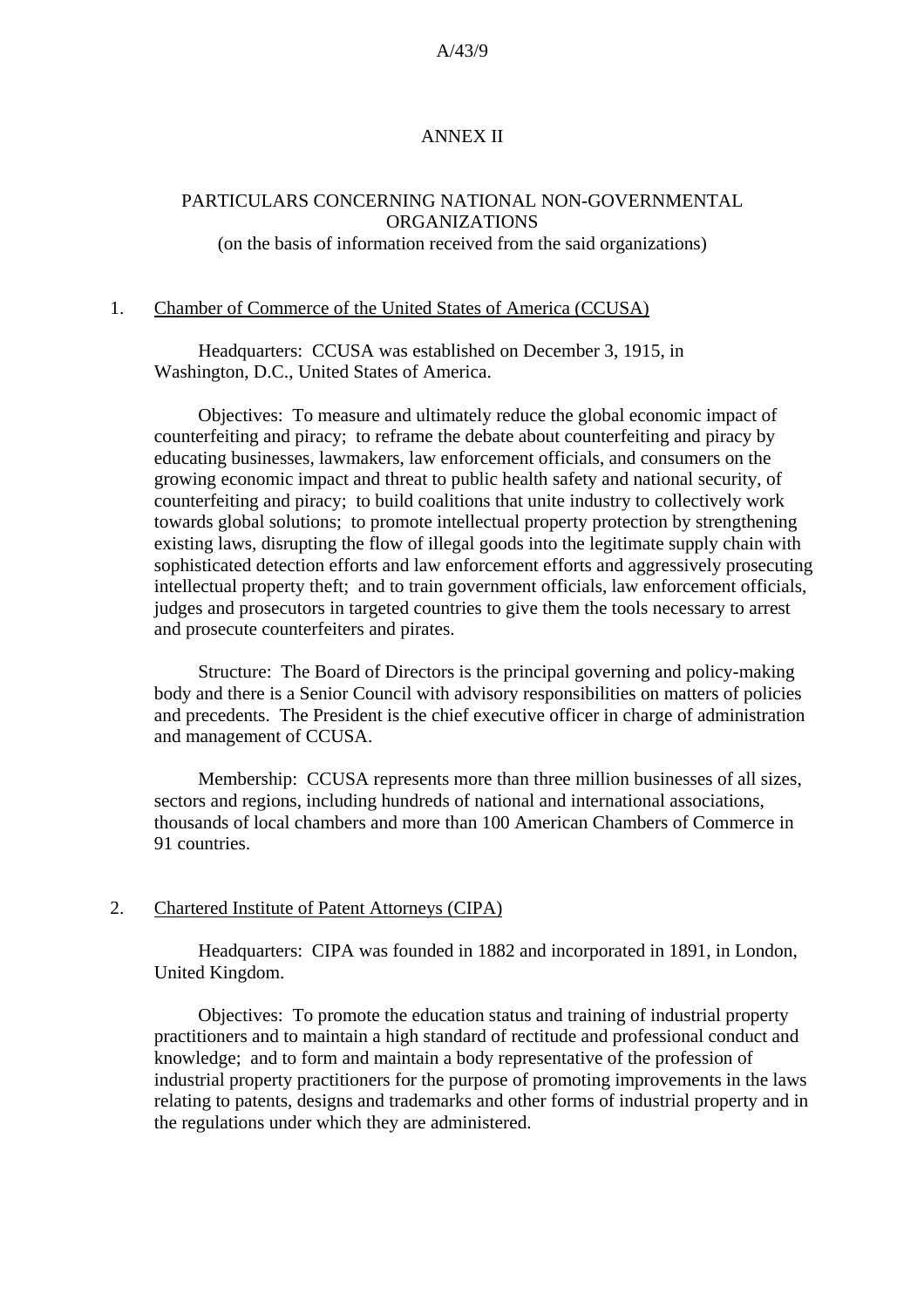#### ANNEX II

## PARTICULARS CONCERNING NATIONAL NON-GOVERNMENTAL ORGANIZATIONS

#### (on the basis of information received from the said organizations)

#### 1. Chamber of Commerce of the United States of America (CCUSA)

Headquarters: CCUSA was established on December 3, 1915, in Washington, D.C., United States of America.

Objectives: To measure and ultimately reduce the global economic impact of counterfeiting and piracy; to reframe the debate about counterfeiting and piracy by educating businesses, lawmakers, law enforcement officials, and consumers on the growing economic impact and threat to public health safety and national security, of counterfeiting and piracy; to build coalitions that unite industry to collectively work towards global solutions; to promote intellectual property protection by strengthening existing laws, disrupting the flow of illegal goods into the legitimate supply chain with sophisticated detection efforts and law enforcement efforts and aggressively prosecuting intellectual property theft; and to train government officials, law enforcement officials, judges and prosecutors in targeted countries to give them the tools necessary to arrest and prosecute counterfeiters and pirates.

Structure: The Board of Directors is the principal governing and policy-making body and there is a Senior Council with advisory responsibilities on matters of policies and precedents. The President is the chief executive officer in charge of administration and management of CCUSA.

Membership: CCUSA represents more than three million businesses of all sizes, sectors and regions, including hundreds of national and international associations, thousands of local chambers and more than 100 American Chambers of Commerce in 91 countries.

#### 2. Chartered Institute of Patent Attorneys (CIPA)

Headquarters: CIPA was founded in 1882 and incorporated in 1891, in London, United Kingdom.

Objectives: To promote the education status and training of industrial property practitioners and to maintain a high standard of rectitude and professional conduct and knowledge; and to form and maintain a body representative of the profession of industrial property practitioners for the purpose of promoting improvements in the laws relating to patents, designs and trademarks and other forms of industrial property and in the regulations under which they are administered.